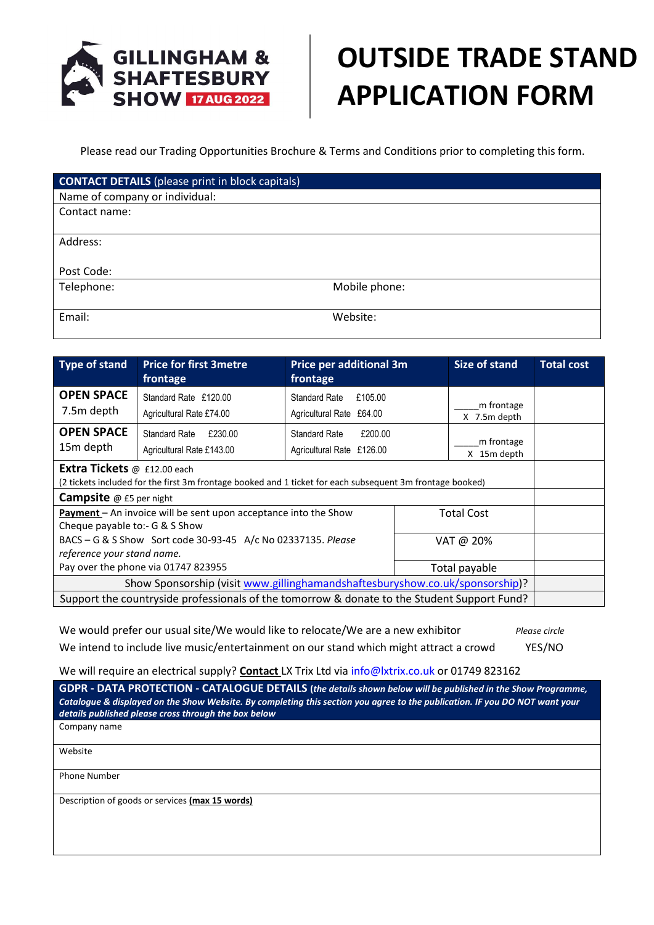

## **OUTSIDE TRADE STAND APPLICATION FORM**

Please read our Trading Opportunities Brochure & Terms and Conditions prior to completing this form.

| <b>CONTACT DETAILS</b> (please print in block capitals) |               |
|---------------------------------------------------------|---------------|
| Name of company or individual:                          |               |
| Contact name:                                           |               |
|                                                         |               |
| Address:                                                |               |
|                                                         |               |
| Post Code:                                              |               |
| Telephone:                                              | Mobile phone: |
|                                                         |               |
| Email:                                                  | Website:      |
|                                                         |               |

| Type of stand                                                                                                                                          | <b>Price for first 3metre</b><br>frontage                    | <b>Price per additional 3m</b><br>frontage                  | <b>Size of stand</b>       | <b>Total cost</b> |
|--------------------------------------------------------------------------------------------------------------------------------------------------------|--------------------------------------------------------------|-------------------------------------------------------------|----------------------------|-------------------|
| <b>OPEN SPACE</b><br>7.5m depth                                                                                                                        | Standard Rate £120.00<br>Agricultural Rate £74.00            | £105.00<br><b>Standard Rate</b><br>Agricultural Rate £64.00 | m frontage<br>X 7.5m depth |                   |
| <b>OPEN SPACE</b><br>15m depth                                                                                                                         | £230.00<br><b>Standard Rate</b><br>Agricultural Rate £143.00 | £200.00<br>Standard Rate<br>Agricultural Rate £126.00       | m frontage<br>X 15m depth  |                   |
| <b>Extra Tickets</b> $\varpi$ £12.00 each<br>(2 tickets included for the first 3m frontage booked and 1 ticket for each subsequent 3m frontage booked) |                                                              |                                                             |                            |                   |
| <b>Campsite</b> @ £5 per night                                                                                                                         |                                                              |                                                             |                            |                   |
| Payment - An invoice will be sent upon acceptance into the Show<br><b>Total Cost</b><br>Cheque payable to:- G & S Show                                 |                                                              |                                                             |                            |                   |
| BACS – G & S Show Sort code 30-93-45 A/c No 02337135. Please<br>VAT @ 20%<br>reference your stand name.                                                |                                                              |                                                             |                            |                   |
| Pay over the phone via 01747 823955                                                                                                                    |                                                              | Total payable                                               |                            |                   |
| Show Sponsorship (visit www.gillinghamandshaftesburyshow.co.uk/sponsorship)?                                                                           |                                                              |                                                             |                            |                   |
| Support the countryside professionals of the tomorrow & donate to the Student Support Fund?                                                            |                                                              |                                                             |                            |                   |

We would prefer our usual site/We would like to relocate/We are a new exhibitor *Please circle* We intend to include live music/entertainment on our stand which might attract a crowd YES/NO

We will require an electrical supply? **Contact** LX Trix Ltd vi[a info@lxtrix.co.uk](mailto:info@lxtrix.co.uk) or 01749 823162

**GDPR - DATA PROTECTION - CATALOGUE DETAILS (***the details shown below will be published in the Show Programme, Catalogue & displayed on the Show Website. By completing this section you agree to the publication. IF you DO NOT want your details published please cross through the box below* Company name Website Phone Number Description of goods or services **(max 15 words)**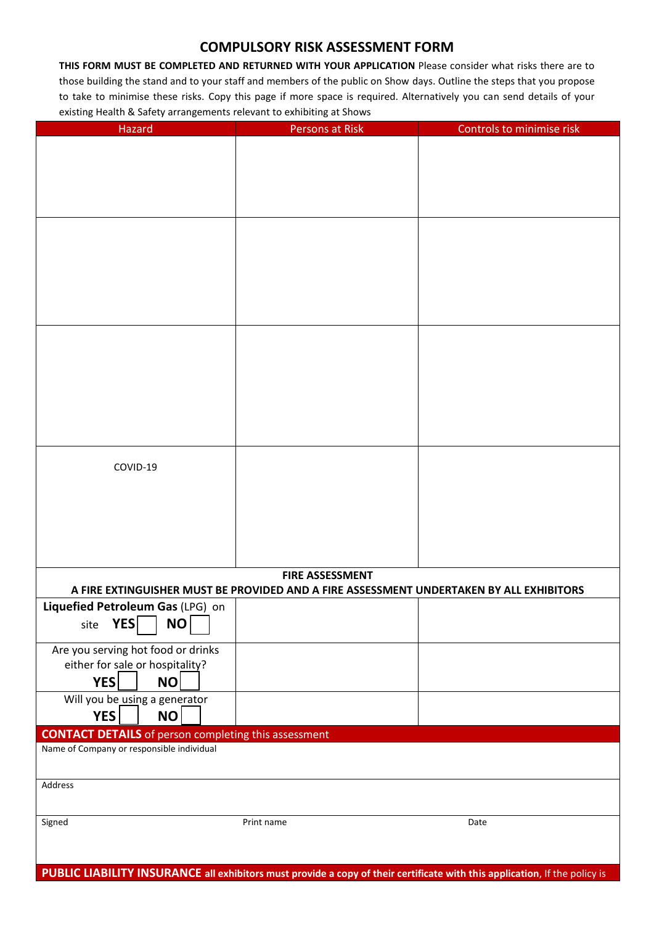## **COMPULSORY RISK ASSESSMENT FORM**

**THIS FORM MUST BE COMPLETED AND RETURNED WITH YOUR APPLICATION** Please consider what risks there are to those building the stand and to your staff and members of the public on Show days. Outline the steps that you propose to take to minimise these risks. Copy this page if more space is required. Alternatively you can send details of your existing Health & Safety arrangements relevant to exhibiting at Shows

| Hazard                                                                                                                     | Persons at Risk                                                                                                   | Controls to minimise risk |
|----------------------------------------------------------------------------------------------------------------------------|-------------------------------------------------------------------------------------------------------------------|---------------------------|
|                                                                                                                            |                                                                                                                   |                           |
|                                                                                                                            |                                                                                                                   |                           |
|                                                                                                                            |                                                                                                                   |                           |
|                                                                                                                            |                                                                                                                   |                           |
|                                                                                                                            |                                                                                                                   |                           |
|                                                                                                                            |                                                                                                                   |                           |
|                                                                                                                            |                                                                                                                   |                           |
|                                                                                                                            |                                                                                                                   |                           |
|                                                                                                                            |                                                                                                                   |                           |
|                                                                                                                            |                                                                                                                   |                           |
|                                                                                                                            |                                                                                                                   |                           |
|                                                                                                                            |                                                                                                                   |                           |
|                                                                                                                            |                                                                                                                   |                           |
|                                                                                                                            |                                                                                                                   |                           |
|                                                                                                                            |                                                                                                                   |                           |
|                                                                                                                            |                                                                                                                   |                           |
|                                                                                                                            |                                                                                                                   |                           |
|                                                                                                                            |                                                                                                                   |                           |
|                                                                                                                            |                                                                                                                   |                           |
|                                                                                                                            |                                                                                                                   |                           |
| COVID-19                                                                                                                   |                                                                                                                   |                           |
|                                                                                                                            |                                                                                                                   |                           |
|                                                                                                                            |                                                                                                                   |                           |
|                                                                                                                            |                                                                                                                   |                           |
|                                                                                                                            |                                                                                                                   |                           |
|                                                                                                                            |                                                                                                                   |                           |
|                                                                                                                            |                                                                                                                   |                           |
|                                                                                                                            | <b>FIRE ASSESSMENT</b><br>A FIRE EXTINGUISHER MUST BE PROVIDED AND A FIRE ASSESSMENT UNDERTAKEN BY ALL EXHIBITORS |                           |
| Liquefied Petroleum Gas (LPG) on                                                                                           |                                                                                                                   |                           |
| <b>YES</b><br><b>NO</b><br>site                                                                                            |                                                                                                                   |                           |
|                                                                                                                            |                                                                                                                   |                           |
| Are you serving hot food or drinks                                                                                         |                                                                                                                   |                           |
| either for sale or hospitality?                                                                                            |                                                                                                                   |                           |
| YES<br><b>NO</b>                                                                                                           |                                                                                                                   |                           |
| Will you be_using a generator                                                                                              |                                                                                                                   |                           |
| YES<br>NO                                                                                                                  |                                                                                                                   |                           |
| <b>CONTACT DETAILS</b> of person completing this assessment                                                                |                                                                                                                   |                           |
| Name of Company or responsible individual                                                                                  |                                                                                                                   |                           |
|                                                                                                                            |                                                                                                                   |                           |
| Address                                                                                                                    |                                                                                                                   |                           |
|                                                                                                                            |                                                                                                                   |                           |
| Signed                                                                                                                     | Print name                                                                                                        | Date                      |
|                                                                                                                            |                                                                                                                   |                           |
|                                                                                                                            |                                                                                                                   |                           |
| PUBLIC LIABILITY INSURANCE all exhibitors must provide a copy of their certificate with this application, If the policy is |                                                                                                                   |                           |